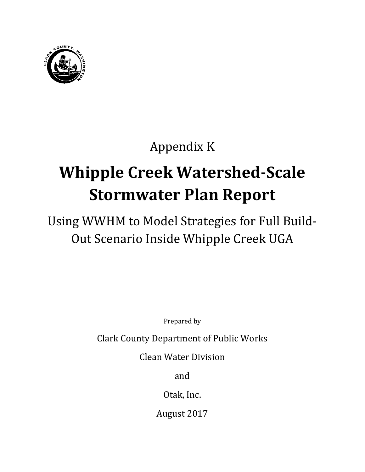

# Appendix K

# **Whipple Creek Watershed-Scale Stormwater Plan Report**

## Using WWHM to Model Strategies for Full Build-Out Scenario Inside Whipple Creek UGA

Prepared by

Clark County Department of Public Works

Clean Water Division

and

Otak, Inc.

August 2017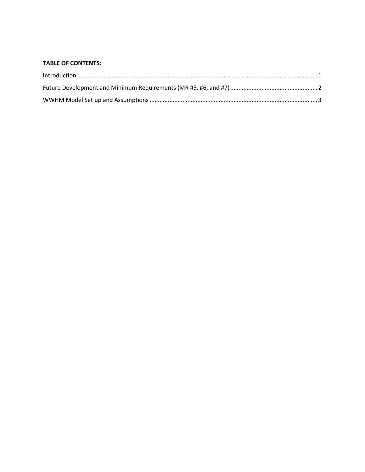#### **TABLE OF CONTENTS:**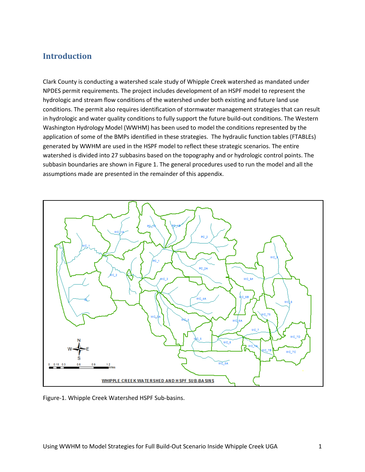#### <span id="page-4-0"></span>**Introduction**

Clark County is conducting a watershed scale study of Whipple Creek watershed as mandated under NPDES permit requirements. The project includes development of an HSPF model to represent the hydrologic and stream flow conditions of the watershed under both existing and future land use conditions. The permit also requires identification of stormwater management strategies that can result in hydrologic and water quality conditions to fully support the future build-out conditions. The Western Washington Hydrology Model (WWHM) has been used to model the conditions represented by the application of some of the BMPs identified in these strategies. The hydraulic function tables (FTABLEs) generated by WWHM are used in the HSPF model to reflect these strategic scenarios. The entire watershed is divided into 27 subbasins based on the topography and or hydrologic control points. The subbasin boundaries are shown in Figure 1. The general procedures used to run the model and all the assumptions made are presented in the remainder of this appendix.



Figure-1. Whipple Creek Watershed HSPF Sub-basins.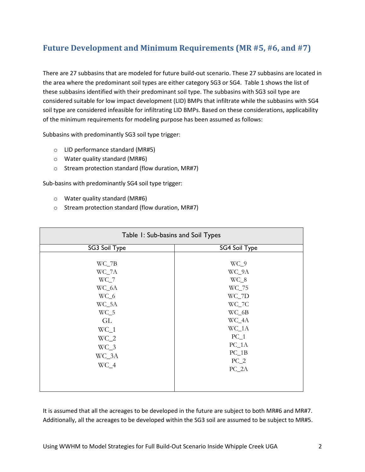## <span id="page-5-0"></span>**Future Development and Minimum Requirements (MR #5, #6, and #7)**

There are 27 subbasins that are modeled for future build-out scenario. These 27 subbasins are located in the area where the predominant soil types are either category SG3 or SG4. Table 1 shows the list of these subbasins identified with their predominant soil type. The subbasins with SG3 soil type are considered suitable for low impact development (LID) BMPs that infiltrate while the subbasins with SG4 soil type are considered infeasible for infiltrating LID BMPs. Based on these considerations, applicability of the minimum requirements for modeling purpose has been assumed as follows:

Subbasins with predominantly SG3 soil type trigger:

- o LID performance standard (MR#5)
- o Water quality standard (MR#6)
- o Stream protection standard (flow duration, MR#7)

Sub-basins with predominantly SG4 soil type trigger:

- o Water quality standard (MR#6)
- o Stream protection standard (flow duration, MR#7)

| Table 1: Sub-basins and Soil Types                                                                                    |                                                                                                                                          |  |
|-----------------------------------------------------------------------------------------------------------------------|------------------------------------------------------------------------------------------------------------------------------------------|--|
| SG3 Soil Type                                                                                                         | SG4 Soil Type                                                                                                                            |  |
| $WC_7B$<br>WC_7A<br>$WC_7$<br>WC_6A<br>WC_6<br>WC_5A<br>$WC_5$<br>GL<br>$WC_1$<br>$WC_2$<br>$WC_3$<br>WC_3A<br>$WC_4$ | $WC_9$<br>WC_9A<br>$WC_8$<br>WC_75<br>WC_7D<br>WC_7C<br>$WC_6B$<br>WC_4A<br>$WC_1A$<br>$PC_1$<br>$PC_1A$<br>$PC_1B$<br>$PC_2$<br>$PC_2A$ |  |

It is assumed that all the acreages to be developed in the future are subject to both MR#6 and MR#7. Additionally, all the acreages to be developed within the SG3 soil are assumed to be subject to MR#5.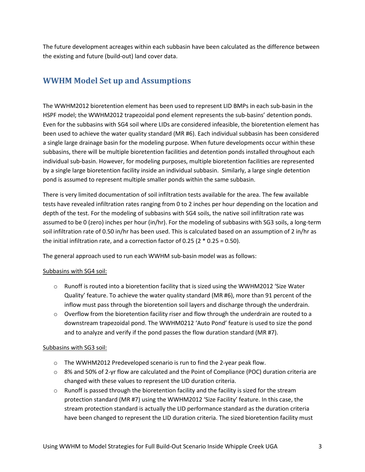The future development acreages within each subbasin have been calculated as the difference between the existing and future (build-out) land cover data.

### <span id="page-6-0"></span>**WWHM Model Set up and Assumptions**

The WWHM2012 bioretention element has been used to represent LID BMPs in each sub-basin in the HSPF model; the WWHM2012 trapezoidal pond element represents the sub-basins' detention ponds. Even for the subbasins with SG4 soil where LIDs are considered infeasible, the bioretention element has been used to achieve the water quality standard (MR #6). Each individual subbasin has been considered a single large drainage basin for the modeling purpose. When future developments occur within these subbasins, there will be multiple bioretention facilities and detention ponds installed throughout each individual sub-basin. However, for modeling purposes, multiple bioretention facilities are represented by a single large bioretention facility inside an individual subbasin. Similarly, a large single detention pond is assumed to represent multiple smaller ponds within the same subbasin.

There is very limited documentation of soil infiltration tests available for the area. The few available tests have revealed infiltration rates ranging from 0 to 2 inches per hour depending on the location and depth of the test. For the modeling of subbasins with SG4 soils, the native soil infiltration rate was assumed to be 0 (zero) inches per hour (in/hr). For the modeling of subbasins with SG3 soils, a long-term soil infiltration rate of 0.50 in/hr has been used. This is calculated based on an assumption of 2 in/hr as the initial infiltration rate, and a correction factor of 0.25 (2  $*$  0.25 = 0.50).

The general approach used to run each WWHM sub-basin model was as follows:

#### Subbasins with SG4 soil:

- $\circ$  Runoff is routed into a bioretention facility that is sized using the WWHM2012 'Size Water Quality' feature. To achieve the water quality standard (MR #6), more than 91 percent of the inflow must pass through the bioretention soil layers and discharge through the underdrain.
- $\circ$  Overflow from the bioretention facility riser and flow through the underdrain are routed to a downstream trapezoidal pond. The WWHM0212 'Auto Pond' feature is used to size the pond and to analyze and verify if the pond passes the flow duration standard (MR #7).

#### Subbasins with SG3 soil:

- o The WWHM2012 Predeveloped scenario is run to find the 2-year peak flow.
- $\circ$  8% and 50% of 2-yr flow are calculated and the Point of Compliance (POC) duration criteria are changed with these values to represent the LID duration criteria.
- $\circ$  Runoff is passed through the bioretention facility and the facility is sized for the stream protection standard (MR #7) using the WWHM2012 'Size Facility' feature. In this case, the stream protection standard is actually the LID performance standard as the duration criteria have been changed to represent the LID duration criteria. The sized bioretention facility must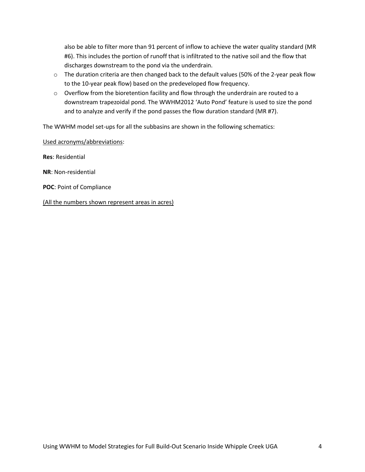also be able to filter more than 91 percent of inflow to achieve the water quality standard (MR #6). This includes the portion of runoff that is infiltrated to the native soil and the flow that discharges downstream to the pond via the underdrain.

- $\circ$  The duration criteria are then changed back to the default values (50% of the 2-year peak flow to the 10-year peak flow) based on the predeveloped flow frequency.
- $\circ$  Overflow from the bioretention facility and flow through the underdrain are routed to a downstream trapezoidal pond. The WWHM2012 'Auto Pond' feature is used to size the pond and to analyze and verify if the pond passes the flow duration standard (MR #7).

The WWHM model set-ups for all the subbasins are shown in the following schematics:

Used acronyms/abbreviations:

**Res**: Residential

**NR**: Non-residential

**POC**: Point of Compliance

(All the numbers shown represent areas in acres)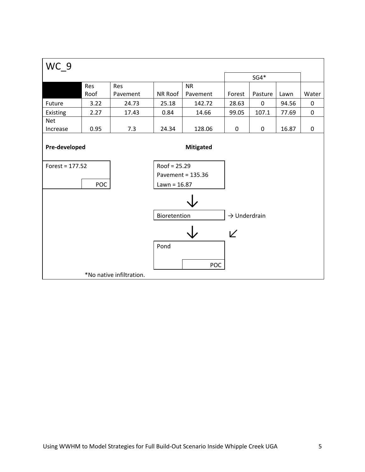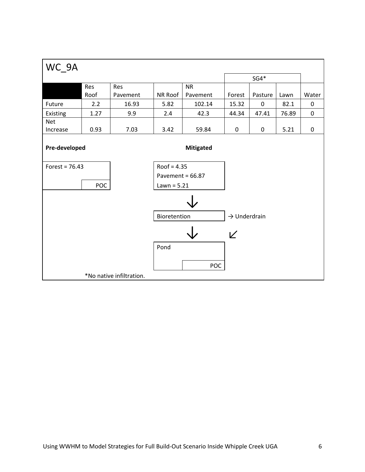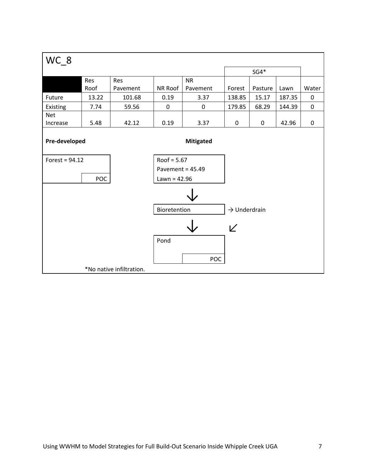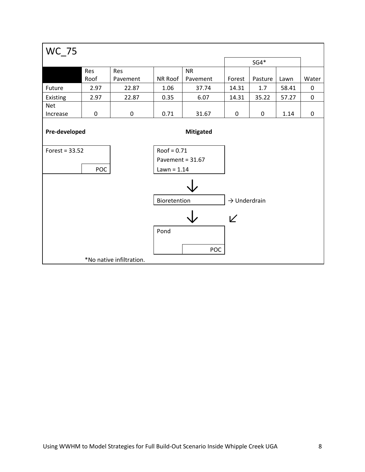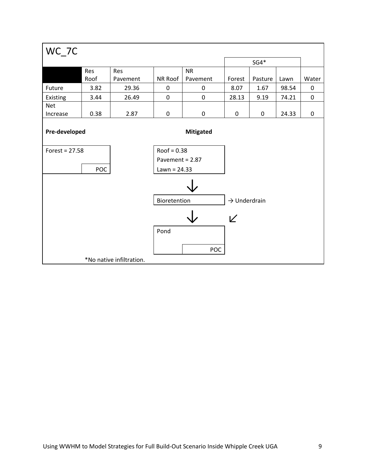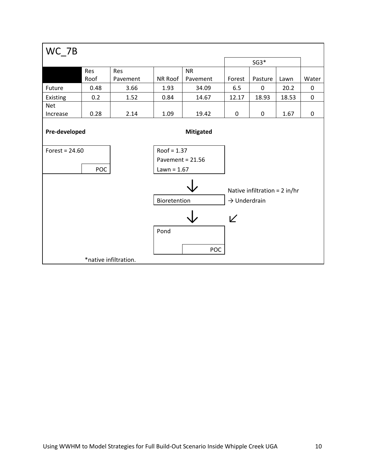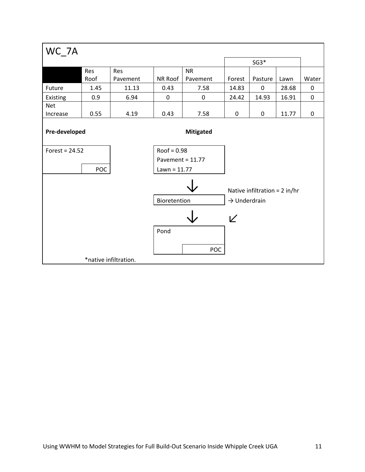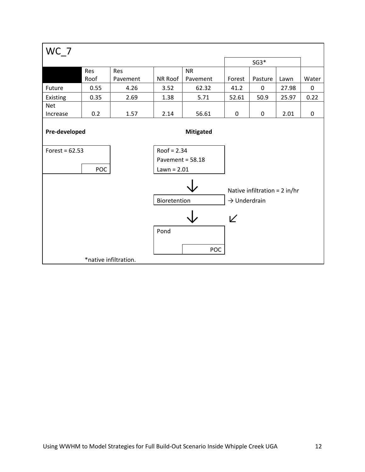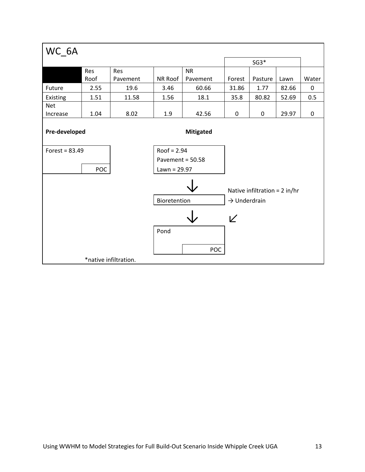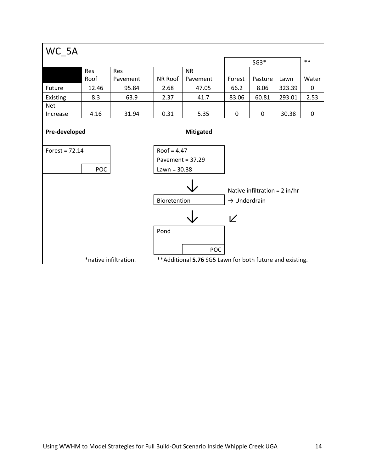